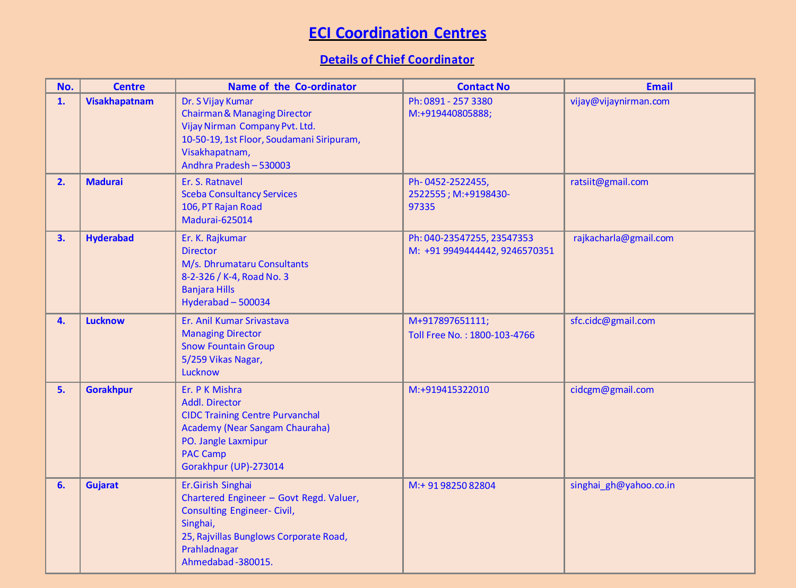## **ECI Coordination Centres**

## **Details of Chief Coordinator**

| No. | <b>Centre</b>        | <b>Name of the Co-ordinator</b>                                                                                                                                                               | <b>Contact No</b>                                           | <b>Email</b>           |
|-----|----------------------|-----------------------------------------------------------------------------------------------------------------------------------------------------------------------------------------------|-------------------------------------------------------------|------------------------|
| 1.  | <b>Visakhapatnam</b> | Dr. S Vijay Kumar<br><b>Chairman &amp; Managing Director</b><br>Vijay Nirman Company Pvt. Ltd.<br>10-50-19, 1st Floor, Soudamani Siripuram,<br>Visakhapatnam,<br>Andhra Pradesh - 530003      | Ph: 0891 - 257 3380<br>M:+919440805888;                     | vijay@vijaynirman.com  |
| 2.  | <b>Madurai</b>       | Er. S. Ratnavel<br><b>Sceba Consultancy Services</b><br>106, PT Rajan Road<br>Madurai-625014                                                                                                  | Ph-0452-2522455,<br>2522555; M:+9198430-<br>97335           | ratsiit@gmail.com      |
| 3.  | <b>Hyderabad</b>     | Er. K. Rajkumar<br><b>Director</b><br>M/s. Dhrumataru Consultants<br>8-2-326 / K-4, Road No. 3<br><b>Banjara Hills</b><br>Hyderabad - 500034                                                  | Ph: 040-23547255, 23547353<br>M: +91 9949444442, 9246570351 | rajkacharla@gmail.com  |
| 4.  | <b>Lucknow</b>       | Er. Anil Kumar Srivastava<br><b>Managing Director</b><br><b>Snow Fountain Group</b><br>5/259 Vikas Nagar,<br>Lucknow                                                                          | M+917897651111;<br>Toll Free No.: 1800-103-4766             | sfc.cidc@gmail.com     |
| 5.  | <b>Gorakhpur</b>     | Er. P K Mishra<br>Addl. Director<br><b>CIDC Training Centre Purvanchal</b><br>Academy (Near Sangam Chauraha)<br>PO. Jangle Laxmipur<br><b>PAC Camp</b><br>Gorakhpur (UP)-273014               | M:+919415322010                                             | cidcgm@gmail.com       |
| 6.  | <b>Gujarat</b>       | Er.Girish Singhai<br>Chartered Engineer - Govt Regd. Valuer,<br><b>Consulting Engineer- Civil,</b><br>Singhai,<br>25, Rajvillas Bunglows Corporate Road,<br>Prahladnagar<br>Ahmedabad-380015. | M:+ 91 98250 82804                                          | singhai_gh@yahoo.co.in |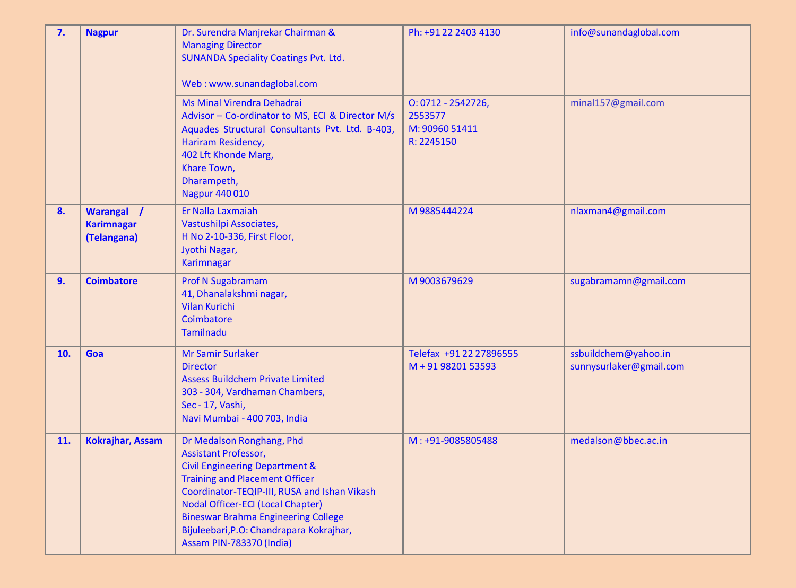| 7.             | <b>Nagpur</b>                                  | Dr. Surendra Manjrekar Chairman &<br><b>Managing Director</b><br><b>SUNANDA Speciality Coatings Pvt. Ltd.</b><br>Web: www.sunandaglobal.com                                                                                                                                                                                                                      | Ph: +91 22 2403 4130                                           | info@sunandaglobal.com                          |
|----------------|------------------------------------------------|------------------------------------------------------------------------------------------------------------------------------------------------------------------------------------------------------------------------------------------------------------------------------------------------------------------------------------------------------------------|----------------------------------------------------------------|-------------------------------------------------|
|                |                                                | Ms Minal Virendra Dehadrai<br>Advisor - Co-ordinator to MS, ECI & Director M/s<br>Aquades Structural Consultants Pvt. Ltd. B-403,<br>Hariram Residency,<br>402 Lft Khonde Marg,<br>Khare Town,<br>Dharampeth,<br>Nagpur 440 010                                                                                                                                  | $0:0712 - 2542726,$<br>2553577<br>M: 90960 51411<br>R: 2245150 | minal157@gmail.com                              |
| 8.             | Warangal /<br><b>Karimnagar</b><br>(Telangana) | Er Nalla Laxmaiah<br>Vastushilpi Associates,<br>H No 2-10-336, First Floor,<br>Jyothi Nagar,<br><b>Karimnagar</b>                                                                                                                                                                                                                                                | M9885444224                                                    | nlaxman4@gmail.com                              |
| 9 <sub>1</sub> | <b>Coimbatore</b>                              | <b>Prof N Sugabramam</b><br>41, Dhanalakshmi nagar,<br><b>Vilan Kurichi</b><br>Coimbatore<br><b>Tamilnadu</b>                                                                                                                                                                                                                                                    | M9003679629                                                    | sugabramamn@gmail.com                           |
| 10.            | Goa                                            | <b>Mr Samir Surlaker</b><br><b>Director</b><br><b>Assess Buildchem Private Limited</b><br>303 - 304, Vardhaman Chambers,<br>Sec - 17, Vashi,<br>Navi Mumbai - 400 703, India                                                                                                                                                                                     | Telefax +91 22 27896555<br>M + 91 98201 53593                  | ssbuildchem@yahoo.in<br>sunnysurlaker@gmail.com |
| 11.            | <b>Kokrajhar, Assam</b>                        | Dr Medalson Ronghang, Phd<br><b>Assistant Professor,</b><br><b>Civil Engineering Department &amp;</b><br><b>Training and Placement Officer</b><br>Coordinator-TEQIP-III, RUSA and Ishan Vikash<br>Nodal Officer-ECI (Local Chapter)<br><b>Bineswar Brahma Engineering College</b><br>Bijuleebari, P.O: Chandrapara Kokrajhar,<br><b>Assam PIN-783370 (India)</b> | M: +91-9085805488                                              | medalson@bbec.ac.in                             |